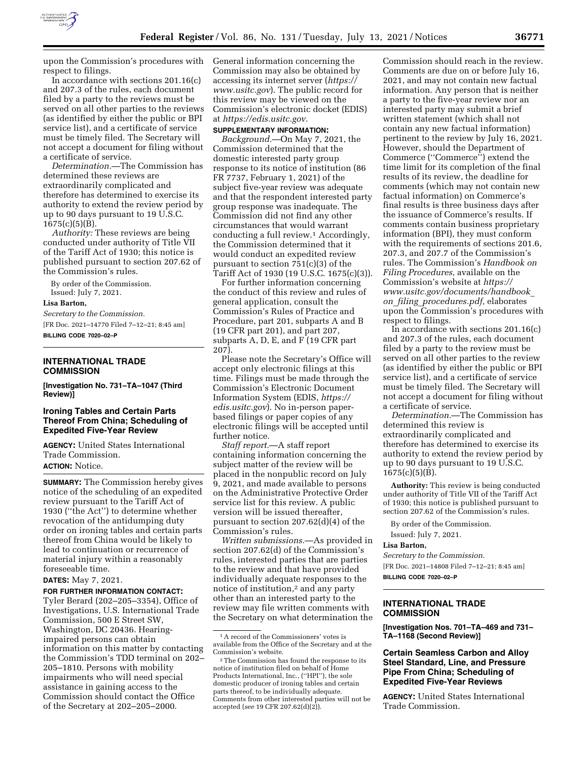

upon the Commission's procedures with respect to filings.

In accordance with sections 201.16(c) and 207.3 of the rules, each document filed by a party to the reviews must be served on all other parties to the reviews (as identified by either the public or BPI service list), and a certificate of service must be timely filed. The Secretary will not accept a document for filing without a certificate of service.

*Determination.*—The Commission has determined these reviews are extraordinarily complicated and therefore has determined to exercise its authority to extend the review period by up to 90 days pursuant to 19 U.S.C.  $1675(c)(5)(B)$ .

*Authority:* These reviews are being conducted under authority of Title VII of the Tariff Act of 1930; this notice is published pursuant to section 207.62 of the Commission's rules.

By order of the Commission. Issued: July 7, 2021.

#### **Lisa Barton,**

*Secretary to the Commission.*  [FR Doc. 2021–14770 Filed 7–12–21; 8:45 am] **BILLING CODE 7020–02–P** 

#### **INTERNATIONAL TRADE COMMISSION**

**[Investigation No. 731–TA–1047 (Third Review)]** 

# **Ironing Tables and Certain Parts Thereof From China; Scheduling of Expedited Five-Year Review**

**AGENCY:** United States International Trade Commission.

# **ACTION:** Notice.

**SUMMARY:** The Commission hereby gives notice of the scheduling of an expedited review pursuant to the Tariff Act of 1930 (''the Act'') to determine whether revocation of the antidumping duty order on ironing tables and certain parts thereof from China would be likely to lead to continuation or recurrence of material injury within a reasonably foreseeable time.

### **DATES:** May 7, 2021.

### **FOR FURTHER INFORMATION CONTACT:**

Tyler Berard (202–205–3354), Office of Investigations, U.S. International Trade Commission, 500 E Street SW, Washington, DC 20436. Hearingimpaired persons can obtain information on this matter by contacting the Commission's TDD terminal on 202– 205–1810. Persons with mobility impairments who will need special assistance in gaining access to the Commission should contact the Office of the Secretary at 202–205–2000.

General information concerning the Commission may also be obtained by accessing its internet server (*https:// www.usitc.gov*). The public record for this review may be viewed on the Commission's electronic docket (EDIS) at *https://edis.usitc.gov.* 

### **SUPPLEMENTARY INFORMATION:**

*Background.*—On May 7, 2021, the Commission determined that the domestic interested party group response to its notice of institution (86 FR 7737, February 1, 2021) of the subject five-year review was adequate and that the respondent interested party group response was inadequate. The Commission did not find any other circumstances that would warrant conducting a full review.1 Accordingly, the Commission determined that it would conduct an expedited review pursuant to section  $751(c)(3)$  of the Tariff Act of 1930 (19 U.S.C. 1675(c)(3)).

For further information concerning the conduct of this review and rules of general application, consult the Commission's Rules of Practice and Procedure, part 201, subparts A and B (19 CFR part 201), and part 207, subparts A, D, E, and F (19 CFR part 207).

Please note the Secretary's Office will accept only electronic filings at this time. Filings must be made through the Commission's Electronic Document Information System (EDIS, *https:// edis.usitc.gov*). No in-person paperbased filings or paper copies of any electronic filings will be accepted until further notice.

*Staff report.*—A staff report containing information concerning the subject matter of the review will be placed in the nonpublic record on July 9, 2021, and made available to persons on the Administrative Protective Order service list for this review. A public version will be issued thereafter, pursuant to section 207.62(d)(4) of the Commission's rules.

*Written submissions.*—As provided in section 207.62(d) of the Commission's rules, interested parties that are parties to the review and that have provided individually adequate responses to the notice of institution,<sup>2</sup> and any party other than an interested party to the review may file written comments with the Secretary on what determination the

Commission should reach in the review. Comments are due on or before July 16, 2021, and may not contain new factual information. Any person that is neither a party to the five-year review nor an interested party may submit a brief written statement (which shall not contain any new factual information) pertinent to the review by July 16, 2021. However, should the Department of Commerce (''Commerce'') extend the time limit for its completion of the final results of its review, the deadline for comments (which may not contain new factual information) on Commerce's final results is three business days after the issuance of Commerce's results. If comments contain business proprietary information (BPI), they must conform with the requirements of sections 201.6, 207.3, and 207.7 of the Commission's rules. The Commission's *Handbook on Filing Procedures,* available on the Commission's website at *https:// www.usitc.gov/documents/handbook*\_ *on*\_*filing*\_*procedures.pdf,* elaborates upon the Commission's procedures with respect to filings.

In accordance with sections 201.16(c) and 207.3 of the rules, each document filed by a party to the review must be served on all other parties to the review (as identified by either the public or BPI service list), and a certificate of service must be timely filed. The Secretary will not accept a document for filing without a certificate of service.

*Determination.*—The Commission has determined this review is extraordinarily complicated and therefore has determined to exercise its authority to extend the review period by up to 90 days pursuant to 19 U.S.C.  $1675(c)(5)(B)$ .

**Authority:** This review is being conducted under authority of Title VII of the Tariff Act of 1930; this notice is published pursuant to section 207.62 of the Commission's rules.

By order of the Commission.

Issued: July 7, 2021.

## **Lisa Barton,**

*Secretary to the Commission.*  [FR Doc. 2021–14808 Filed 7–12–21; 8:45 am] **BILLING CODE 7020–02–P** 

# **INTERNATIONAL TRADE COMMISSION**

**[Investigation Nos. 701–TA–469 and 731– TA–1168 (Second Review)]** 

# **Certain Seamless Carbon and Alloy Steel Standard, Line, and Pressure Pipe From China; Scheduling of Expedited Five-Year Reviews**

**AGENCY:** United States International Trade Commission.

<sup>1</sup>A record of the Commissioners' votes is available from the Office of the Secretary and at the Commission's website.

<sup>2</sup>The Commission has found the response to its notice of institution filed on behalf of Home Products International, Inc., (''HPI''), the sole domestic producer of ironing tables and certain parts thereof, to be individually adequate. Comments from other interested parties will not be accepted (*see* 19 CFR 207.62(d)(2)).